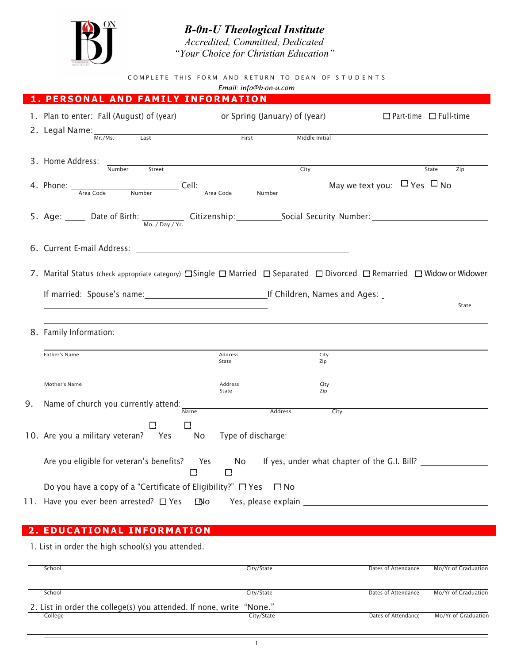

*B-0n-U Theological Institute Accredited, Committed, Dedicated*

*"Your Choice for Christian Education"*

COMPLETE THIS FORM AND RETURN TO DEAN OF STUDENTS

| Email: info@b-on-u.com |                                                                                                                        |                  |                                       |                                                 |  |  |  |
|------------------------|------------------------------------------------------------------------------------------------------------------------|------------------|---------------------------------------|-------------------------------------------------|--|--|--|
|                        | PERSONAL AND FAMILY INFORMATION                                                                                        |                  |                                       |                                                 |  |  |  |
|                        |                                                                                                                        |                  |                                       |                                                 |  |  |  |
|                        | 2. Legal Name: $\frac{N_{\text{nr.}/\text{Ms.}}}{N_{\text{nr.}/\text{Ms.}}}$<br><u>First</u><br>$\overline{last}$      |                  | Middle Initial                        |                                                 |  |  |  |
|                        |                                                                                                                        |                  |                                       |                                                 |  |  |  |
|                        | 3. Home Address:<br>Number<br>Street                                                                                   | City             |                                       | State<br>Zip                                    |  |  |  |
|                        | 4. Phone: <u>Area Code</u> Number Cell: Area Code Number                                                               |                  | May we text you: $\Box$ Yes $\Box$ No |                                                 |  |  |  |
|                        |                                                                                                                        |                  |                                       |                                                 |  |  |  |
|                        |                                                                                                                        |                  |                                       |                                                 |  |  |  |
|                        | 7. Marital Status (check appropriate category): Single D Married D Separated D Divorced D Remarried D Widow or Widower |                  |                                       |                                                 |  |  |  |
|                        |                                                                                                                        |                  |                                       |                                                 |  |  |  |
|                        |                                                                                                                        |                  |                                       | State                                           |  |  |  |
|                        | 8. Family Information:                                                                                                 |                  |                                       |                                                 |  |  |  |
|                        | Father's Name                                                                                                          | Address<br>State | City<br>Zip                           |                                                 |  |  |  |
|                        | Mother's Name                                                                                                          | Address<br>State | City<br>Zip                           |                                                 |  |  |  |
| 9.                     | Name of church you currently attend: Name                                                                              |                  |                                       |                                                 |  |  |  |
|                        |                                                                                                                        | Address          | City                                  |                                                 |  |  |  |
|                        | П<br>□<br>10. Are you a military veteran? Yes No Type of discharge: ______________________                             |                  |                                       |                                                 |  |  |  |
|                        | Are you eligible for veteran's benefits? Yes<br>$\Box$                                                                 | $\Box$           |                                       | No If yes, under what chapter of the G.I. Bill? |  |  |  |
|                        |                                                                                                                        |                  |                                       |                                                 |  |  |  |
|                        |                                                                                                                        |                  |                                       |                                                 |  |  |  |
|                        | Do you have a copy of a "Certificate of Eligibility?" $\Box$ Yes $\Box$ No                                             |                  |                                       |                                                 |  |  |  |

## **2 . EDUCATIONAL INFORMATION**

1. List in order the high school(s) you attended.

| School                                                               | City/State | Dates of Attendance | Mo/Yr of Graduation |
|----------------------------------------------------------------------|------------|---------------------|---------------------|
| School                                                               | City/State | Dates of Attendance | Mo/Yr of Graduation |
| 2. List in order the college(s) you attended. If none, write "None." |            |                     |                     |
| College                                                              | City/State | Dates of Attendance | Mo/Yr of Graduation |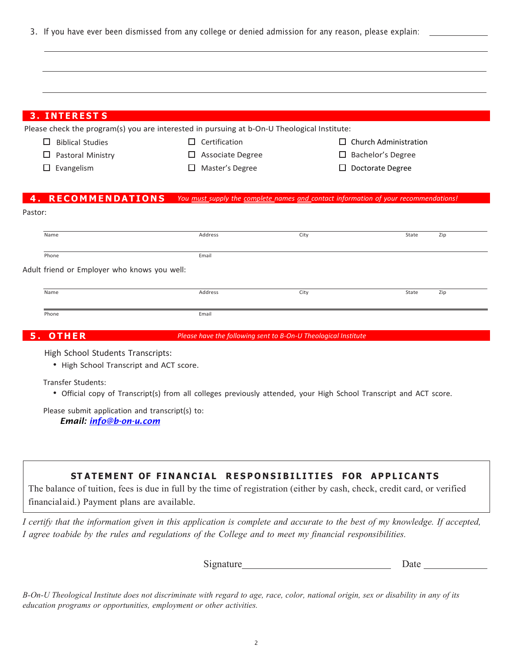3. If you have ever been dismissed from any college or denied admission for any reason, please explain:

| <b>3. INTERESTS</b>                                                          | Please check the program(s) you are interested in pursuing at b-On-U Theological Institute:                        |        |                                       |     |
|------------------------------------------------------------------------------|--------------------------------------------------------------------------------------------------------------------|--------|---------------------------------------|-----|
| <b>Biblical Studies</b><br>⊔                                                 | $\Box$ Certification                                                                                               |        | $\Box$ Church Administration          |     |
| Pastoral Ministry<br>$\Box$<br>Evangelism<br>$\Box$                          | Associate Degree<br>ப<br>Master's Degree<br>ப                                                                      | ப<br>ப | Bachelor's Degree<br>Doctorate Degree |     |
| <b>4. RECOMMENDATIONS</b><br>Pastor:                                         | You must_supply the complete_names_and_contact information of your recommendations!                                |        |                                       |     |
| Name                                                                         | Address                                                                                                            | City   | State                                 | Zip |
| Phone                                                                        | Email                                                                                                              |        |                                       |     |
| Adult friend or Employer who knows you well:                                 |                                                                                                                    |        |                                       |     |
| Name                                                                         | Address                                                                                                            | City   | State                                 | Zip |
|                                                                              |                                                                                                                    |        |                                       |     |
| Phone                                                                        | Email                                                                                                              |        |                                       |     |
| 5. OTHER                                                                     | Please have the following sent to B-On-U Theological Institute                                                     |        |                                       |     |
| High School Students Transcripts:<br>• High School Transcript and ACT score. |                                                                                                                    |        |                                       |     |
| <b>Transfer Students:</b>                                                    | • Official copy of Transcript(s) from all colleges previously attended, your High School Transcript and ACT score. |        |                                       |     |
| Please submit application and transcript(s) to:<br>Email: info@b-on-u.com    |                                                                                                                    |        |                                       |     |

Signature Date Date

B-On-U Theological Institute does not discriminate with regard to age, race, color, national origin, sex or disability in any of its *education programs or opportunities, employment or other activities.*

*I agree to abide by the rules and regulations of the College and to meet my financial responsibilities.*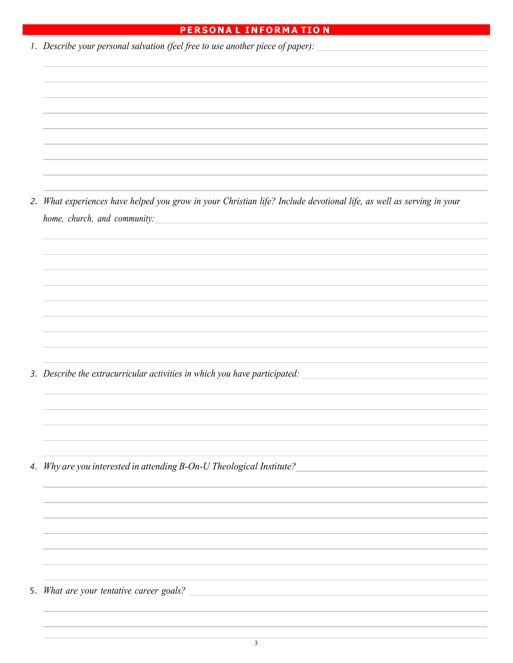## **PERSONA L INFORMA TIO N**

| 1. Describe your personal salvation (feel free to use another piece of paper):                                                                                    |  |  |  |
|-------------------------------------------------------------------------------------------------------------------------------------------------------------------|--|--|--|
|                                                                                                                                                                   |  |  |  |
|                                                                                                                                                                   |  |  |  |
|                                                                                                                                                                   |  |  |  |
|                                                                                                                                                                   |  |  |  |
|                                                                                                                                                                   |  |  |  |
|                                                                                                                                                                   |  |  |  |
|                                                                                                                                                                   |  |  |  |
| 2. What experiences have helped you grow in your Christian life? Include devotional life, as well as serving in your<br>home, church, and community:              |  |  |  |
|                                                                                                                                                                   |  |  |  |
|                                                                                                                                                                   |  |  |  |
|                                                                                                                                                                   |  |  |  |
|                                                                                                                                                                   |  |  |  |
|                                                                                                                                                                   |  |  |  |
|                                                                                                                                                                   |  |  |  |
|                                                                                                                                                                   |  |  |  |
| 3. Describe the extracurricular activities in which you have participated: _________________________                                                              |  |  |  |
|                                                                                                                                                                   |  |  |  |
|                                                                                                                                                                   |  |  |  |
|                                                                                                                                                                   |  |  |  |
|                                                                                                                                                                   |  |  |  |
| 4. Why are you interested in attending B-On-U Theological Institute?                                                                                              |  |  |  |
|                                                                                                                                                                   |  |  |  |
|                                                                                                                                                                   |  |  |  |
|                                                                                                                                                                   |  |  |  |
|                                                                                                                                                                   |  |  |  |
|                                                                                                                                                                   |  |  |  |
|                                                                                                                                                                   |  |  |  |
| 5. What are your tentative career goals?<br><u> 1980 - Andrea Station Barbara, actor a contrador de la contrador de la contrador de la contrador de la contra</u> |  |  |  |